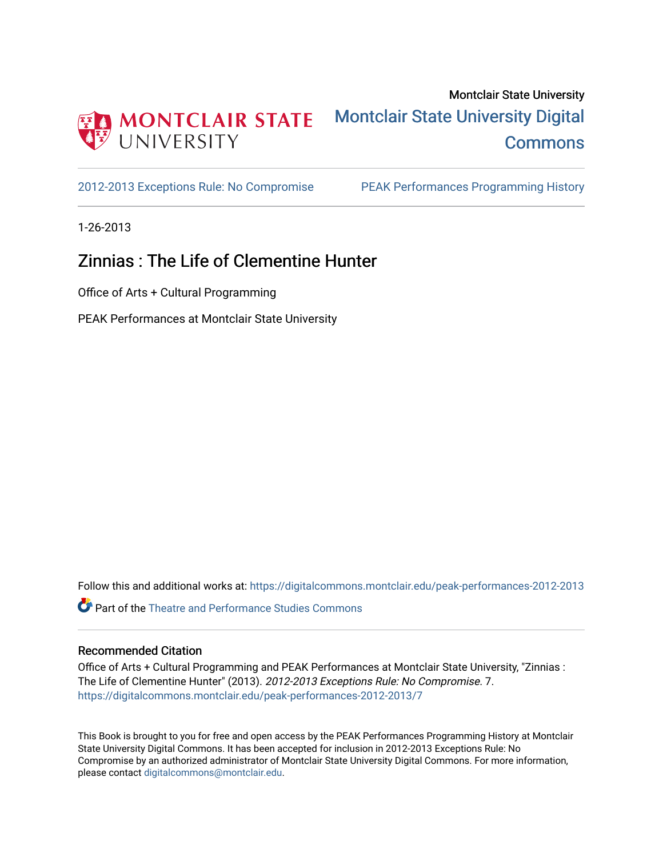

[2012-2013 Exceptions Rule: No Compromise](https://digitalcommons.montclair.edu/peak-performances-2012-2013) [PEAK Performances Programming History](https://digitalcommons.montclair.edu/peak-performances-programming-history) 

1-26-2013

## Zinnias : The Life of Clementine Hunter

Office of Arts + Cultural Programming

PEAK Performances at Montclair State University

Follow this and additional works at: [https://digitalcommons.montclair.edu/peak-performances-2012-2013](https://digitalcommons.montclair.edu/peak-performances-2012-2013?utm_source=digitalcommons.montclair.edu%2Fpeak-performances-2012-2013%2F7&utm_medium=PDF&utm_campaign=PDFCoverPages)  Part of the [Theatre and Performance Studies Commons](http://network.bepress.com/hgg/discipline/552?utm_source=digitalcommons.montclair.edu%2Fpeak-performances-2012-2013%2F7&utm_medium=PDF&utm_campaign=PDFCoverPages) 

## Recommended Citation

Office of Arts + Cultural Programming and PEAK Performances at Montclair State University, "Zinnias : The Life of Clementine Hunter" (2013). 2012-2013 Exceptions Rule: No Compromise. 7. [https://digitalcommons.montclair.edu/peak-performances-2012-2013/7](https://digitalcommons.montclair.edu/peak-performances-2012-2013/7?utm_source=digitalcommons.montclair.edu%2Fpeak-performances-2012-2013%2F7&utm_medium=PDF&utm_campaign=PDFCoverPages) 

This Book is brought to you for free and open access by the PEAK Performances Programming History at Montclair State University Digital Commons. It has been accepted for inclusion in 2012-2013 Exceptions Rule: No Compromise by an authorized administrator of Montclair State University Digital Commons. For more information, please contact [digitalcommons@montclair.edu.](mailto:digitalcommons@montclair.edu)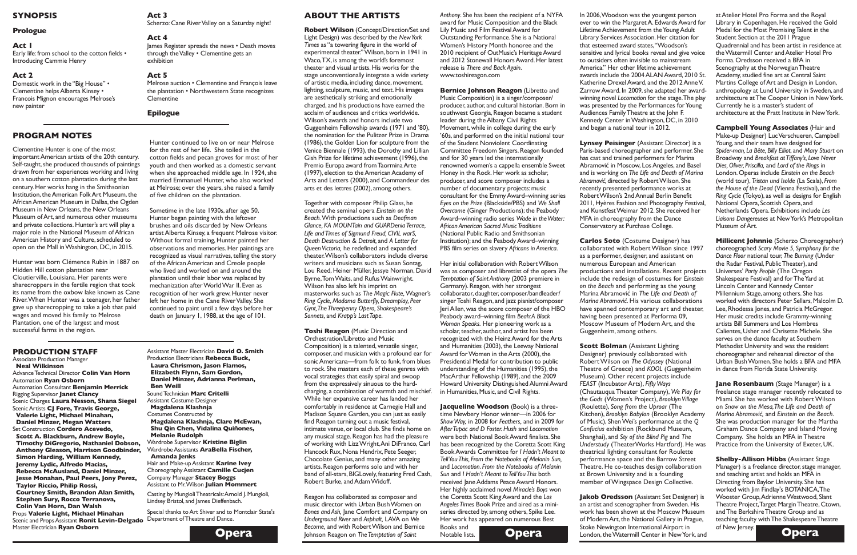## **ABOUT THE ARTISTS**

**Robert Wilson** (Concept/Direction/Set and Light Design) was described by the *NewYork Times* as "a towering figure in the world of experimental theater."Wilson, born in 1941 in Waco,TX, is among the world's foremost theater and visual artists. His works for the stage unconventionally integrate a wide variety of artistic media, including dance, movement, lighting, sculpture, music, and text. His images are aesthetically striking and emotionally charged, and his productions have earned the acclaim of audiences and critics worldwide. Wilson's awards and honors include two Guggenheim Fellowship awards (1971 and '80), the nomination for the Pulitzer Prize in Drama (1986), the Golden Lion for sculpture from the Venice Biennale (1993), the Dorothy and Lillian Gish Prize for lifetime achievement (1996), the Premio Europa award fromTaorminaArte (1997), election to the American Academy of Arts and Letters (2000), and Commandeur des arts et des lettres (2002), among others.

**Toshi Reagon** (Music Direction and Orchestration/Libretto and Music Composition) is a talented, versatile singer, composer, and musician with a profound ear for sonicAmericana—from folk to funk, from blues to rock. She masters each of these genres with vocal strategies that easily spiral and swoop from the expressively sinuous to the hardcharging, a combination of warmth and mischief. While her expansive career has landed her comfortably in residence at Carnegie Hall and Madison Square Garden, you can just as easily find Reagon turning out a music festival, intimate venue, or local club. She finds home on any musical stage. Reagon has had the pleasure of working with LizzWright,Ani DiFranco, Carl Hancock Rux, Nona Hendrix, Pete Seeger, Chocolate Genius, and many other amazing artists.Reagon performs solo and with her band of all-stars, BIGLovely, featuring Fred Cash, Robert Burke, and Adam Widoff.

Together with composer Philip Glass, he created the seminal opera *Einstein on the Beach.*With productions such as *Deafman Glance, KA MOUNTain and GUARDeniaTerrace, Life andTimes of Sigmund Freud, CIVIL warS, Death Destruction & Detroit,* and *A Letter for QueenVictoria,* he redefined and expanded theater.Wilson's collaborators include diverse writers and musicians such as Susan Sontag, Lou Reed, Heiner Müller, Jessye Norman, David Byrne, Tom Waits, and Rufus Wainwright. Wilson has also left his imprint on masterworks such as *The Magic Flute,*Wagner's *Ring Cycle, Madama Butterfly,Dreamplay, Peer Gynt,TheThreepenny Opera, Shakespeare's Sonnets,* and *Krapp's LastTape*.

**Opera Opera** Johnson Reagon on *The Temptation of Saint* Notable lists. **Opera** Reagon has collaborated as composer and music director with Urban BushWomen on *Bones and Ash,* Jane Comfort and Company on *Underground River* and *Asphalt,* LAVA on *We Become,* and with RobertWilson and Bernice

Clementine Hunter is one of the most important American artists of the 20th century. Self-taught, she produced thousands of paintings drawn from her experiences working and living on a southern cotton plantation during the last century. Her works hang in the Smithsonian Institution, the American Folk Art Museum, the African American Museum in Dallas, the Ogden Museum in New Orleans, the New Orleans Museum ofArt, and numerous other museums and private collections. Hunter's art will play a major role in the National Museum of African American History and Culture, scheduled to open on the Mall in Washington, DC, in 2015.

*Anthony*. She has been the recipient of a NYFA award for Music Composition and the Black Lily Music and Film FestivalAward for Outstanding Performance. She is a National Women's History Month honoree and the 2010 recipient of OutMusic's Heritage Award and 2012 Stonewall HonorsAward. Her latest release is *There and Back Again*. www.toshireagon.com

**Bernice Johnson Reagon** (Libretto and Music Composition) is a singer/composer/ producer, author, and cultural historian. Born in southwest Georgia, Reagon became a student leader during the Albany Civil Rights Movement, while in college during the early '60s, and performed on the initial national tour of the Student Nonviolent Coordinating Committee Freedom Singers. Reagon founded and for 30 years led the internationally renowned women's a cappella ensemble Sweet Honey in the Rock. Her work as scholar, producer, and score composer includes a number of documentary projects: music consultant for the EmmyAward–winning series *Eyes on the Prize* (Blackside/PBS) and *We Shall* **Overcome** (Ginger Productions); the Peabody Award–winning radio series *Wade in theWater: African American Sacred MusicTraditions* (National Public Radio and Smithsonian Institution); and the PeabodyAward–winning PBS film series on slavery *Africans in America*.

Her initial collaboration with Robert Wilson was as composer and librettist of the opera *The Temptation of Saint Anthony* (2003 premiere in Germany). Reagon, with her strongest collaborator, daughter, composer/bandleader/ singer Toshi Reagon, and jazz pianist/composer JeriAllen, was the score composer of the HBO Peabody award–winning film *Beah:A Black Woman Speaks.* Her pioneering work as a scholar, teacher, author, and artist has been recognized with the Heinz Award for the Arts and Humanities (2003), the Leeway National Award for Women in the Arts (2000), the Presidential Medal for contribution to public understanding of the Humanities (1995), the MacArthur Fellowship (1989), and the 2009 Howard University Distinguished Alumni Award in Humanities, Music, and Civil Rights.

> **Jakob Oredsson** (Assistant Set Designer) is an artist and scenographer from Sweden. His work has been shown at the Moscow Museum of Modern Art, the National Gallery in Prague, Stoke Newington International Airport in London, the Watermill Center in New York, and

**Jacqueline Woodson** (Book) is a threetime Newbery Honor winner—in 2006 for *ShowWay,* in 2008 for *Feathers,* and in 2009 for *AfterTupac and D Foster.Hush* and *Locomotion* were both National BookAward finalists. She has been recognized by the Coretta Scott King BookAwards Committee for *I Hadn't Meant to TellYouThis, From the Notebooks of Melanin Sun,* and *Locomotion*. *From the Notebooks of Melanin Sun* and *I Hadn't Meant toTellYouThis* both received Jane Addams Peace Award Honors. Her highly acclaimed novel *Miracle's Boys* won the Coretta Scott KingAward and the *Los AngelesTimes* Book Prize and aired as a miniseries directed by, among others, Spike Lee. Her work has appeared on numerous Best

Books and Notable lists.

## **PROGRAM NOTES**

Hunter was born Clémence Rubin in 1887 on Hidden Hill cotton plantation near Cloutierville, Louisiana. Her parents were sharecroppers in the fertile region that took its name from the oxbow lake known as Cane River.When Hunter was a teenager, her father gave up sharecropping to take a job that paid wages and moved his family to Melrose Plantation, one of the largest and most successful farms in the region.

Hunter continued to live on or near Melrose for the rest of her life. She toiled in the cotton fields and pecan groves for most of her youth and then worked as a domestic servant when she approached middle age. In 1924, she married Emmanuel Hunter, who also worked at Melrose; over the years, she raised a family of five children on the plantation.

Sometime in the late 1930s, after age 50, Hunter began painting with the leftover brushes and oils discarded by New Orleans artistAlberta Kinsey, a frequent Melrose visitor. Without formal training, Hunter painted her observations and memories. Her paintings are recognized as visual narratives, telling the story of the African American and Creole people who lived and worked on and around the plantation until their labor was replaced by mechanization after World War II. Even as recognition of her work grew, Hunter never left her home in the Cane River Valley. She continued to paint until a few days before her death on January 1, 1988, at the age of 101.

**Act 3** Scherzo: Cane River Valley on a Saturday night!

Melrose auction • Clementine and François leave the plantation • Northwestern State recognizes **Clementine** 

In 2006,Woodson was the youngest person ever to win the Margaret A. Edwards Award for Lifetime Achievement from the Young Adult Library Services Association. Her citation for that esteemed award states,"Woodson's sensitive and lyrical books reveal and give voice to outsiders often invisible to mainstream America." Her other lifetime achievement awards include the 2004 ALAN Award, 2010 St. Katherine Drexel Award, and the 2012 Anne V. Zarrow Award. In 2009, she adapted her awardwinning novel *Locomotion* for the stage.The play was presented by the Performances for Young Audiences FamilyTheatre at the John F. Kennedy Center in Washington, DC, in 2010 and began a national tour in 2012.

**Lynsey Peisinger** (Assistant Director) is a Paris-based choreographer and performer. She has cast and trained performers for Marina Abramović in Moscow, Los Angeles, and Basel and is working on *The Life and Death of Marina* Abramović, directed by Robert Wilson. She recently presented performance works at RobertWilson's 2ndAnnual Berlin Benefit 2011, Hyères Fashion and Photography Festival, and KunstfestWeimar 2012. She received her MFA in choreography from the Dance Conservatory at Purchase College.

**Carlos Soto** (Costume Designer) has collaborated with RobertWilson since 1997 as a performer, designer, and assistant on numerous European and American productions and installations. Recent projects include the redesign of costumes for *Einstein on the Beach* and performing as the young Marina Abramović in *The Life and Death of Marina Abramović*. His various collaborations have spanned contemporary art and theater, having been presented at Performa 09, Moscow Museum of Modern Art, and the Guggenheim, among others.

**Scott Bolman** (Assistant Lighting Designer) previously collaborated with RobertWilson on *The Odyssey* (National Theatre of Greece) and *KOOL* (Guggenheim Museum). Other recent projects include *FEAST* (Incubator Arts), *FiftyWays* (Chautauqua Theater Company), *We Play for the Gods* (Women's Project), *Brooklyn Village* (Roulette), *Song from the Uproar* (The Kitchen), *Brooklyn Babylon* (Brooklyn Academy of Music), ShenWei's performance at the *Q Confucius* exhibition (Rockbund Museum, Shanghai), and *Sty of the Blind Pig* and *The Understudy* (TheaterWorks Hartford). He was theatrical lighting consultant for Roulette performance space and the Barrow Street Theatre. He co-teaches design collaboration at Brown University and is a founding member ofWingspace Design Collective.

atAtelier Hotel Pro Forma and the Royal Library in Copenhagen. He received the Gold Medal for the Most Promising Talent in the Student Section at the 2011 Prague Quadrennial and has been artist in residence at theWatermill Center andAtelier Hotel Pro Forma. Oredsson received a BFA in Scenography at the Norwegian Theatre Academy, studied fine art at Central Saint Martins College of Art and Design in London, anthropology at Lund University in Sweden, and architecture atThe Cooper Union in NewYork. Currently he is a master's student of architecture at the Pratt Institute in NewYork.

**Campbell Young Associates** (Hair and Make-up Designer) LucVerschueren, Campbell Young, and their team have designed for *Spider-man, La Bête, Billy Elliot*, and *Mary Stuart* on Broadway and *Breakfast atTiffany's, Love Never Dies,Oliver, Priscilla,* and *Lord of the Rings* in London. Operas include *Einstein on the Beach* (world tour), *Tristan und Isolde* (La Scala), *From the House of the Dead* (Vienna Festival), and the *Ring Cycle* (Tokyo), as well as designs for English National Opera, Scottish Opera, and Netherlands Opera. Exhibitions include *Les Liaisons Dangereuses* at NewYork's Metropolitan Museum ofArt.

**Millicent Johnnie** (Scherzo Choreographer) choreographed *Scary Movie 5, Symphony for the Dance Floor* national tour, *The Burning* (Under the Radar Festival, PublicTheater), and Universes' *Party People* (The Oregon Shakespeare Festival) and for The Yard at Lincoln Center and Kennedy Center Millennium Stage, among others. She has worked with directors Peter Sellars, Malcolm D. Lee, Rhodessa Jones, and Patricia McGregor. Her music credits include Grammy-winning artists Bill Summers and Los Hombres Calientes, Usher and Chrisette Michele. She serves on the dance faculty at Southern Methodist University and was the resident choreographer and rehearsal director of the Urban BushWomen. She holds a BFA and MFA in dance from Florida State University.

**Jane Rosenbaum** (Stage Manager) is a freelance stage manager recently relocated to Miami. She has worked with Robert Wilson on *Snow on the Mesa,The Life and Death of Marina Abramović,* and *Einstein on the Beach*. She was production manager for the Martha Graham Dance Company and Island Moving Company. She holds an MFA in Theatre Practice from the University of Exeter, UK.

**Shelby-Allison Hibbs** (Assistant Stage Manager) is a freelance director, stage manager, and teaching artist and holds an MFA in Directing from Baylor University. She has worked with Jim Findlay's BOTANICA,The Wooster Group, Adrienne Westwood, Slant Theatre Project, Target Margin Theatre, Ctown, and The Berkshire Theatre Group and as teaching faculty with The Shakespeare Theatre of New Jersey.



## **PRODUCTION STAFF**

Associate Production Manager **Neal Wilkinson**

AdvanceTechnical Director **Colin Van Horn** Automation **Ryan Osborn** Automation Consultant **Benjamin Merrick** Rigging Supervisor **Janet Clancy** Scenic Charges **Laura Nesson, Shana Siegel** ScenicArtists **CJ Fore, Travis George, Valerie Light, Michael Minahan, Daniel Minzer, Megan Watters** Set Construction **Cordero Acevedo, Scott A. Blackburn, Andrew Boyle, Timothy DiGregorio, Nathaniel Dobson, Anthony Gleason, Harrison Goodbinder, Simon Harding, William Kennedy, Jeremy Lydic, Alfredo Macias, Rebecca McAusland, Daniel Minzer, Jesse Monahan, Paul Peers, Jony Perez, Taylor Riccio, Philip Rossi, Courtney Smith, Brandon Alan Smith, Stephen Sury, Rocco Terranova, Colin Van Horn, Dan Walsh** Props **Valerie Light, Michael Minahan** Scenic and PropsAssistant **Ronit Levin-Delgado** Department ofTheatre and Dance. Master Electrician **Ryan Osborn**

Assistant Master Electrician **David O. Smith** Production Electricians **Rebecca Buck, Laura Chrismon, Jason Flamos, Elizabeth Flynn, Sam Gordon, Daniel Minzer, Adrianna Perlman, Ben Weill** SoundTechnician **Marc Critelli** Assistant Costume Designer **Magdalena Klashnja** Costumes Constructed by **Magdalena Klashnja, Clare McEwan, Shu Qin Chen, Vidalina Quiñones, Melanie Rudolph** Wardrobe Supervisor **Kristine Biglin** WardrobeAssistants **AraBella Fischer, Amanda Jenks** Hair and Make-upAssistant **Karine Ivey** ChoreographyAssistant **Camille Cucjen** Company Manager **Stacey Boggs** Assistant to Mr.Wilson **Julian Mommert** Casting by Mungioli Theatricals: Arnold J. Mungioli, Lindsey Bristol, and James Dieffenbach.

Special thanks toArt Shiver and to Montclair State's



## **SYNOPSIS**

## **Prologue**

## **Act 1**

Early life: from school to the cotton fields • Introducing Cammie Henry

## **Act 2**

Domestic work in the "Big House" • Clementine helpsAlberta Kinsey • Francois Mignon encourages Melrose's new painter

## **Act 4**

James Register spreads the news • Death moves through theValley • Clementine gets an exhibition

## **Act 5**

**Epilogue**